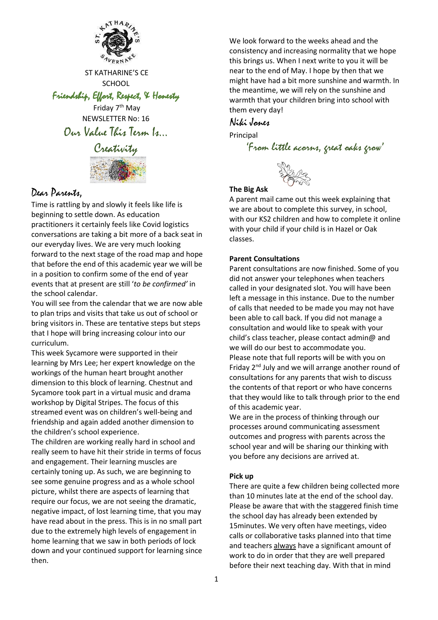

ST KATHARINE'S CE **SCHOOL** 

Friendship, Effort, Respect, & Honesty

Friday 7<sup>th</sup> May NEWSLETTER No: 16 Our Value This Term Is…



## Dear Parents,

Time is rattling by and slowly it feels like life is beginning to settle down. As education practitioners it certainly feels like Covid logistics conversations are taking a bit more of a back seat in our everyday lives. We are very much looking forward to the next stage of the road map and hope that before the end of this academic year we will be in a position to confirm some of the end of year events that at present are still '*to be confirmed'* in the school calendar.

You will see from the calendar that we are now able to plan trips and visits that take us out of school or bring visitors in. These are tentative steps but steps that I hope will bring increasing colour into our curriculum.

This week Sycamore were supported in their learning by Mrs Lee; her expert knowledge on the workings of the human heart brought another dimension to this block of learning. Chestnut and Sycamore took part in a virtual music and drama workshop by Digital Stripes. The focus of this streamed event was on children's well-being and friendship and again added another dimension to the children's school experience.

The children are working really hard in school and really seem to have hit their stride in terms of focus and engagement. Their learning muscles are certainly toning up. As such, we are beginning to see some genuine progress and as a whole school picture, whilst there are aspects of learning that require our focus, we are not seeing the dramatic, negative impact, of lost learning time, that you may have read about in the press. This is in no small part due to the extremely high levels of engagement in home learning that we saw in both periods of lock down and your continued support for learning since then.

We look forward to the weeks ahead and the consistency and increasing normality that we hope this brings us. When I next write to you it will be near to the end of May. I hope by then that we might have had a bit more sunshine and warmth. In the meantime, we will rely on the sunshine and warmth that your children bring into school with them every day!

### Niki Jones

Principal

'From little acorns, great oaks grow'



#### **The Big Ask**

A parent mail came out this week explaining that we are about to complete this survey, in school, with our KS2 children and how to complete it online with your child if your child is in Hazel or Oak classes.

#### **Parent Consultations**

Parent consultations are now finished. Some of you did not answer your telephones when teachers called in your designated slot. You will have been left a message in this instance. Due to the number of calls that needed to be made you may not have been able to call back. If you did not manage a consultation and would like to speak with your child's class teacher, please contact admin@ and we will do our best to accommodate you. Please note that full reports will be with you on Friday 2nd July and we will arrange another round of consultations for any parents that wish to discuss the contents of that report or who have concerns that they would like to talk through prior to the end of this academic year.

We are in the process of thinking through our processes around communicating assessment outcomes and progress with parents across the school year and will be sharing our thinking with you before any decisions are arrived at.

#### **Pick up**

There are quite a few children being collected more than 10 minutes late at the end of the school day. Please be aware that with the staggered finish time the school day has already been extended by 15minutes. We very often have meetings, video calls or collaborative tasks planned into that time and teachers always have a significant amount of work to do in order that they are well prepared before their next teaching day. With that in mind